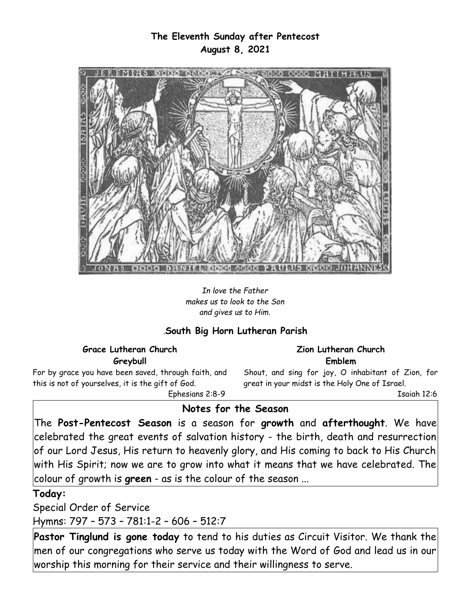## **The Eleventh Sunday after Pentecost August 8, 2021**



*In love the Father makes us to look to the Son and gives us to Him.*

## *.***South Big Horn Lutheran Parish**

### **Grace Lutheran Church**

**Greybull**

For by grace you have been saved, through faith, and this is not of yourselves, it is the gift of God.

Ephesians 2:8-9

#### **Zion Lutheran Church Emblem**

Shout, and sing for joy, O inhabitant of Zion, for great in your midst is the Holy One of Israel.

Isaiah 12:6

# **Notes for the Season**

The **Post-Pentecost Season** is a season for **growth** and **afterthought**. We have celebrated the great events of salvation history - the birth, death and resurrection of our Lord Jesus, His return to heavenly glory, and His coming to back to His Church with His Spirit; now we are to grow into what it means that we have celebrated. The colour of growth is **green** - as is the colour of the season ...

### **Today:**

Special Order of Service

Hymns: 797 – 573 – 781:1-2 – 606 – 512:7

**Pastor Tinglund is gone today** to tend to his duties as Circuit Visitor. We thank the men of our congregations who serve us today with the Word of God and lead us in our worship this morning for their service and their willingness to serve.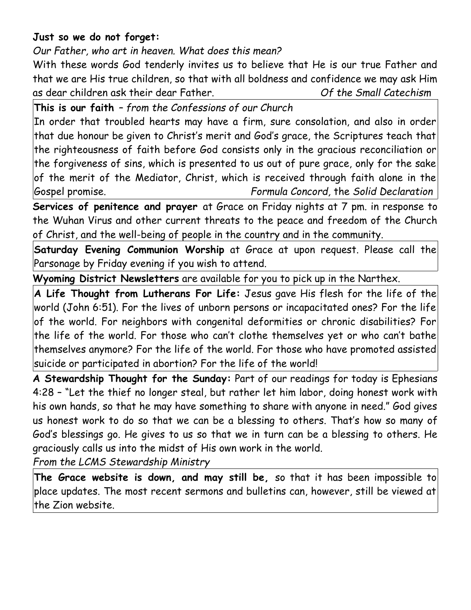# **Just so we do not forget:**

*Our Father, who art in heaven. What does this mean?*

With these words God tenderly invites us to believe that He is our true Father and that we are His true children, so that with all boldness and confidence we may ask Him as dear children ask their dear Father. *Of the Small Catechism*

**This is our faith** *– from the Confessions of our Church*

In order that troubled hearts may have a firm, sure consolation, and also in order that due honour be given to Christ's merit and God's grace, the Scriptures teach that the righteousness of faith before God consists only in the gracious reconciliation or the forgiveness of sins, which is presented to us out of pure grace, only for the sake of the merit of the Mediator, Christ, which is received through faith alone in the Gospel promise. *Formula Concord,* the *Solid Declaration*

**Services of penitence and prayer** at Grace on Friday nights at 7 pm. in response to the Wuhan Virus and other current threats to the peace and freedom of the Church of Christ, and the well-being of people in the country and in the community.

**Saturday Evening Communion Worship** at Grace at upon request. Please call the Parsonage by Friday evening if you wish to attend.

**Wyoming District Newsletters** are available for you to pick up in the Narthex.

**A Life Thought from Lutherans For Life:** Jesus gave His flesh for the life of the world (John 6:51). For the lives of unborn persons or incapacitated ones? For the life of the world. For neighbors with congenital deformities or chronic disabilities? For the life of the world. For those who can't clothe themselves yet or who can't bathe themselves anymore? For the life of the world. For those who have promoted assisted suicide or participated in abortion? For the life of the world!

**A Stewardship Thought for the Sunday:** Part of our readings for today is Ephesians 4:28 – "Let the thief no longer steal, but rather let him labor, doing honest work with his own hands, so that he may have something to share with anyone in need." God gives us honest work to do so that we can be a blessing to others. That's how so many of God's blessings go. He gives to us so that we in turn can be a blessing to others. He graciously calls us into the midst of His own work in the world.

*From the LCMS Stewardship Ministry*

**The Grace website is down, and may still be,** so that it has been impossible to place updates. The most recent sermons and bulletins can, however, still be viewed at the Zion website.